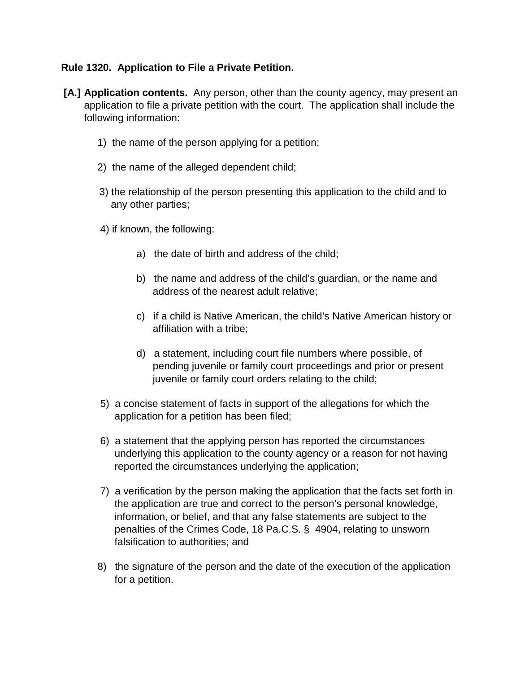### **Rule 1320. Application to File a Private Petition.**

- **[A.] Application contents.** Any person, other than the county agency, may present an application to file a private petition with the court. The application shall include the following information:
	- 1) the name of the person applying for a petition;
	- 2) the name of the alleged dependent child;
	- 3) the relationship of the person presenting this application to the child and to any other parties;
	- 4) if known, the following:
		- a) the date of birth and address of the child;
		- b) the name and address of the child's guardian, or the name and address of the nearest adult relative;
		- c) if a child is Native American, the child's Native American history or affiliation with a tribe;
		- d) a statement, including court file numbers where possible, of pending juvenile or family court proceedings and prior or present juvenile or family court orders relating to the child;
	- 5) a concise statement of facts in support of the allegations for which the application for a petition has been filed;
	- 6) a statement that the applying person has reported the circumstances underlying this application to the county agency or a reason for not having reported the circumstances underlying the application;
	- 7) a verification by the person making the application that the facts set forth in the application are true and correct to the person's personal knowledge, information, or belief, and that any false statements are subject to the penalties of the Crimes Code, 18 Pa.C.S. § 4904, relating to unsworn falsification to authorities; and
	- 8) the signature of the person and the date of the execution of the application for a petition.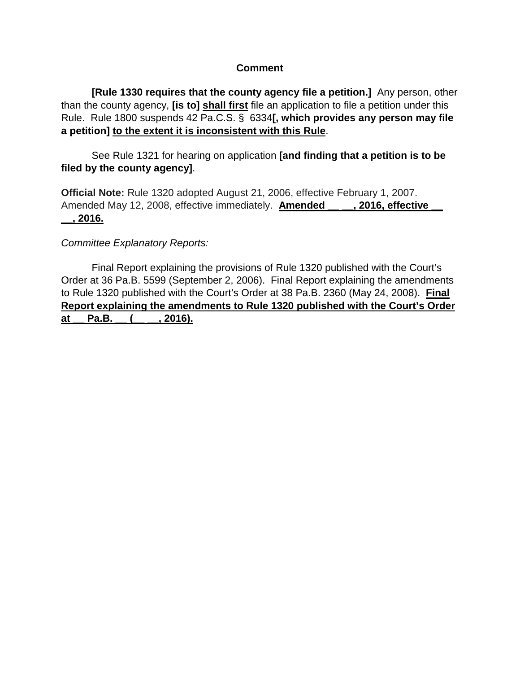#### **Comment**

 **[Rule 1330 requires that the county agency file a petition.]** Any person, other than the county agency, **[is to] shall first** file an application to file a petition under this Rule. Rule 1800 suspends 42 Pa.C.S. § 6334**[, which provides any person may file a petition] to the extent it is inconsistent with this Rule**.

 See Rule 1321 for hearing on application **[and finding that a petition is to be filed by the county agency]**.

**Official Note:** Rule 1320 adopted August 21, 2006, effective February 1, 2007. Amended May 12, 2008, effective immediately. **Amended [4016, effective \_\_, 2016.**

### *Committee Explanatory Reports:*

Final Report explaining the provisions of Rule 1320 published with the Court's Order at 36 Pa.B. 5599 (September 2, 2006). Final Report explaining the amendments to Rule 1320 published with the Court's Order at 38 Pa.B. 2360 (May 24, 2008). **Final Report explaining the amendments to Rule 1320 published with the Court's Order**  at Pa.B. ( , 2016).